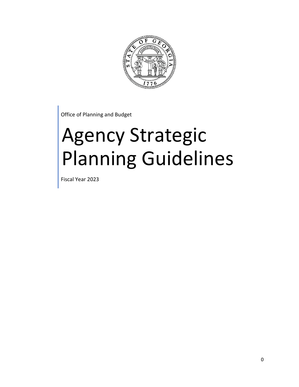

Office of Planning and Budget

# Agency Strategic Planning Guidelines

Fiscal Year 2023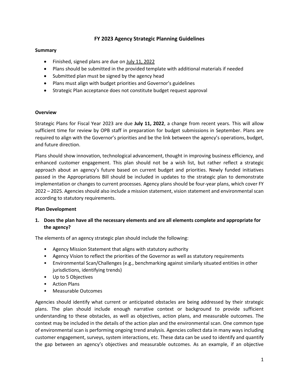#### **FY 2023 Agency Strategic Planning Guidelines**

#### **Summary**

- Finished, signed plans are due on July 11, 2022
- Plans should be submitted in the provided template with additional materials if needed
- Submitted plan must be signed by the agency head
- Plans must align with budget priorities and Governor's guidelines
- Strategic Plan acceptance does not constitute budget request approval

#### **Overview**

Strategic Plans for Fiscal Year 2023 are due **July 11, 2022**, a change from recent years. This will allow sufficient time for review by OPB staff in preparation for budget submissions in September. Plans are required to align with the Governor's priorities and be the link between the agency's operations, budget, and future direction.

Plans should show innovation, technological advancement, thought in improving business efficiency, and enhanced customer engagement. This plan should not be a wish list, but rather reflect a strategic approach about an agency's future based on current budget and priorities. Newly funded initiatives passed in the Appropriations Bill should be included in updates to the strategic plan to demonstrate implementation or changes to current processes. Agency plans should be four-year plans, which cover FY 2022 – 2025. Agencies should also include a mission statement, vision statement and environmental scan according to statutory requirements.

#### **Plan Development**

#### **1. Does the plan have all the necessary elements and are all elements complete and appropriate for the agency?**

The elements of an agency strategic plan should include the following:

- Agency Mission Statement that aligns with statutory authority
- Agency Vision to reflect the priorities of the Governor as well as statutory requirements
- Environmental Scan/Challenges (e.g., benchmarking against similarly situated entities in other jurisdictions, identifying trends)
- Up to 5 Objectives
- Action Plans
- Measurable Outcomes

Agencies should identify what current or anticipated obstacles are being addressed by their strategic plans. The plan should include enough narrative context or background to provide sufficient understanding to these obstacles, as well as objectives, action plans, and measurable outcomes. The context may be included in the details of the action plan and the environmental scan. One common type of environmental scan is performing ongoing trend analysis. Agencies collect data in many ways including customer engagement, surveys, system interactions, etc. These data can be used to identify and quantify the gap between an agency's objectives and measurable outcomes. As an example, if an objective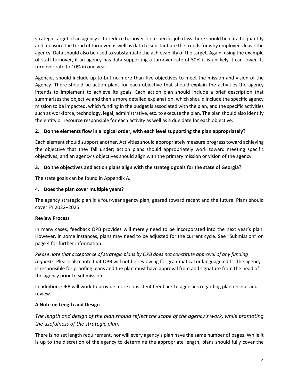strategic target of an agency is to reduce turnover for a specific job class there should be data to quantify and measure the trend of turnover as well as data to substantiate the trends for why employees leave the agency. Data should also be used to substantiate the achievability of the target. Again, using the example of staff turnover, if an agency has data supporting a turnover rate of 50% it is unlikely it can lower its turnover rate to 10% in one year.

Agencies should include up to but no more than five objectives to meet the mission and vision of the Agency. There should be action plans for each objective that should explain the activities the agency intends to implement to achieve its goals. Each action plan should include a brief description that summarizes the objective and then a more detailed explanation, which should include the specific agency mission to be impacted, which funding in the budget is associated with the plan, and the specific activities such as workforce, technology, legal, administrative, etc. to execute the plan. The plan should also identify the entity or resource responsible for each activity as well as a due date for each objective.

#### **2. Do the elements flow in a logical order, with each level supporting the plan appropriately?**

Each element should support another. Activities should appropriately measure progress toward achieving the objective that they fall under; action plans should appropriately work toward meeting specific objectives; and an agency's objectives should align with the primary mission or vision of the agency.

#### **3. Do the objectives and action plans align with the strategic goals for the state of Georgia?**

The state goals can be found in Appendix A.

#### **4. Does the plan cover multiple years?**

The agency strategic plan is a four-year agency plan, geared toward recent and the future. Plans should cover FY 2022–2025.

#### **Review Process**

In many cases, feedback OPB provides will merely need to be incorporated into the next year's plan. However, in some instances, plans may need to be adjusted for the current cycle. See "Submission" on page 4 for further information.

*Please note that acceptance of strategic plans by OPB does not constitute approval of any funding requests.* Please also note that OPB will not be reviewing for grammatical or language edits. The agency is responsible for proofing plans and the plan must have approval from and signature from the head of the agency prior to submission.

In addition, OPB will work to provide more consistent feedback to agencies regarding plan receipt and review.

#### **A Note on Length and Design**

*The length and design of the plan should reflect the scope of the agency's work, while promoting the usefulness of the strategic plan.* 

There is no set length requirement, nor will every agency's plan have the same number of pages. While it is up to the discretion of the agency to determine the appropriate length, plans should fully cover the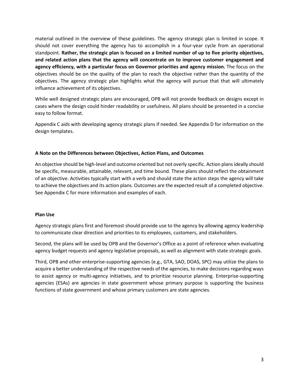material outlined in the overview of these guidelines. The agency strategic plan is limited in scope. It should not cover everything the agency has to accomplish in a four-year cycle from an operational standpoint. **Rather, the strategic plan is focused on a limited number of up to five priority objectives, and related action plans that the agency will concentrate on to improve customer engagement and agency efficiency, with a particular focus on Governor priorities and agency mission.** The focus on the objectives should be on the quality of the plan to reach the objective rather than the quantity of the objectives. The agency strategic plan highlights what the agency will pursue that that will ultimately influence achievement of its objectives.

While well designed strategic plans are encouraged, OPB will not provide feedback on designs except in cases where the design could hinder readability or usefulness. All plans should be presented in a concise easy to follow format.

Appendix C aids with developing agency strategic plans if needed. See Appendix D for information on the design templates.

#### **A Note on the Differences between Objectives, Action Plans, and Outcomes**

An objective should be high-level and outcome oriented but not overly specific. Action plansideally should be specific, measurable, attainable, relevant, and time bound. These plans should reflect the obtainment of an objective. Activities typically start with a verb and should state the action steps the agency will take to achieve the objectives and its action plans. Outcomes are the expected result of a completed objective. See Appendix C for more information and examples of each.

#### **Plan Use**

Agency strategic plans first and foremost should provide use to the agency by allowing agency leadership to communicate clear direction and priorities to its employees, customers, and stakeholders.

Second, the plans will be used by OPB and the Governor's Office as a point of reference when evaluating agency budget requests and agency legislative proposals, as well as alignment with state strategic goals.

Third, OPB and other enterprise-supporting agencies (e.g., GTA, SAO, DOAS, SPC) may utilize the plans to acquire a better understanding of the respective needs of the agencies, to make decisions regarding ways to assist agency or multi-agency initiatives, and to prioritize resource planning. Enterprise-supporting agencies (ESAs) are agencies in state government whose primary purpose is supporting the business functions of state government and whose primary customers are state agencies.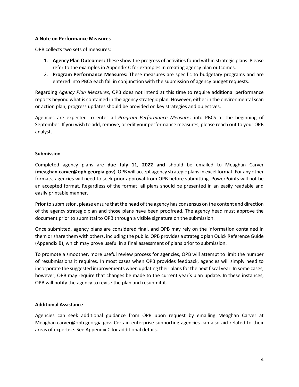#### **A Note on Performance Measures**

OPB collects two sets of measures:

- 1. **Agency Plan Outcomes:** These show the progress of activities found within strategic plans. Please refer to the examples in Appendix C for examples in creating agency plan outcomes.
- 2. **Program Performance Measures:** These measures are specific to budgetary programs and are entered into PBCS each fall in conjunction with the submission of agency budget requests.

Regarding *Agency Plan Measures*, OPB does not intend at this time to require additional performance reports beyond what is contained in the agency strategic plan. However, either in the environmental scan or action plan, progress updates should be provided on key strategies and objectives.

Agencies are expected to enter all *Program Performance Measures* into PBCS at the beginning of September. If you wish to add, remove, or edit your performance measures, please reach out to your OPB analyst.

#### **Submission**

Completed agency plans are **due July 11, 2022 and** should be emailed to Meaghan Carver (**meaghan.carver@opb.georgia.gov**). OPB will accept agency strategic plans in excel format. For any other formats, agencies will need to seek prior approval from OPB before submitting. PowerPoints will not be an accepted format. Regardless of the format, all plans should be presented in an easily readable and easily printable manner.

Prior to submission, please ensure that the head of the agency has consensus on the content and direction of the agency strategic plan and those plans have been proofread. The agency head must approve the document prior to submittal to OPB through a visible signature on the submission.

Once submitted, agency plans are considered final, and OPB may rely on the information contained in them or share them with others, including the public. OPB provides a strategic plan Quick Reference Guide (Appendix B), which may prove useful in a final assessment of plans prior to submission.

To promote a smoother, more useful review process for agencies, OPB will attempt to limit the number of resubmissions it requires. In most cases when OPB provides feedback, agencies will simply need to incorporate the suggested improvements when updating their plans for the next fiscal year. In some cases, however, OPB may require that changes be made to the current year's plan update. In these instances, OPB will notify the agency to revise the plan and resubmit it.

#### **Additional Assistance**

Agencies can seek additional guidance from OPB upon request by emailing Meaghan Carver at Meaghan.carver@opb.georgia.gov. Certain enterprise-supporting agencies can also aid related to their areas of expertise. See Appendix C for additional details.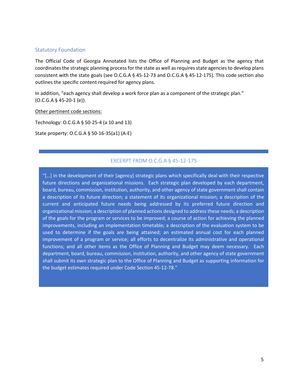#### Statutory Foundation

The Official Code of Georgia Annotated lists the Office of Planning and Budget as the agency that coordinates the strategic planning process for the state as well asrequires state agencies to develop plans consistent with the state goals (see O.C.G.A § 45-12-73 and O.C.G.A § 45-12-175). This code section also outlines the specific content required for agency plans.

In addition, "each agency shall develop a work force plan as a component of the strategic plan."  $(O.C.G.A \S 45-20-1 (e)).$ 

Other pertinent code sections:

Technology: O.C.G.A § 50-25-4 (a 10 and 13)

State property: O.C.G.A § 50-16-35(a1) (A-E)

#### EXCERPT FROM O.C.G.A § 45-12-175

"[…] in the development of their [agency] strategic plans which specifically deal with their respective future directions and organizational missions. Each strategic plan developed by each department, board, bureau, commission, institution, authority, and other agency of state government shall contain a description of its future direction; a statement of its organizational mission; a description of the current and anticipated future needs being addressed by its preferred future direction and organizational mission; a description of planned actions designed to address these needs; a description of the goals for the program or services to be improved; a course of action for achieving the planned improvements, including an implementation timetable; a description of the evaluation system to be used to determine if the goals are being attained; an estimated annual cost for each planned improvement of a program or service; all efforts to decentralize its administrative and operational functions; and all other items as the Office of Planning and Budget may deem necessary. Each department, board, bureau, commission, institution, authority, and other agency of state government shall submit its own strategic plan to the Office of Planning and Budget as supporting information for the budget estimates required under Code Section 45-12-78."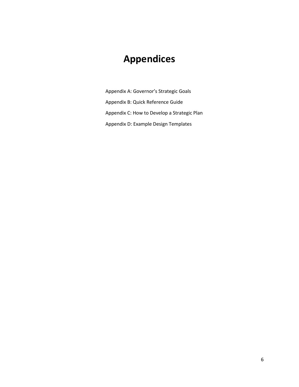## **Appendices**

Appendix A: Governor's Strategic Goals Appendix B: Quick Reference Guide Appendix C: How to Develop a Strategic Plan Appendix D: Example Design Templates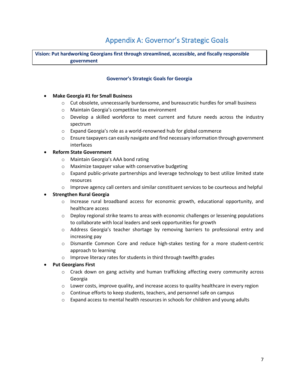## Appendix A: Governor's Strategic Goals

**Vision: Put hardworking Georgians first through streamlined, accessible, and fiscally responsible government** 

#### **Governor's Strategic Goals for Georgia**

#### • **Make Georgia #1 for Small Business**

- $\circ$  Cut obsolete, unnecessarily burdensome, and bureaucratic hurdles for small business
- o Maintain Georgia's competitive tax environment
- o Develop a skilled workforce to meet current and future needs across the industry spectrum
- o Expand Georgia's role as a world-renowned hub for global commerce
- o Ensure taxpayers can easily navigate and find necessary information through government interfaces

#### • **Reform State Government**

- o Maintain Georgia's AAA bond rating
- o Maximize taxpayer value with conservative budgeting
- o Expand public-private partnerships and leverage technology to best utilize limited state resources
- $\circ$  Improve agency call centers and similar constituent services to be courteous and helpful

#### • **Strengthen Rural Georgia**

- $\circ$  Increase rural broadband access for economic growth, educational opportunity, and healthcare access
- $\circ$  Deploy regional strike teams to areas with economic challenges or lessening populations to collaborate with local leaders and seek opportunities for growth
- o Address Georgia's teacher shortage by removing barriers to professional entry and increasing pay
- o Dismantle Common Core and reduce high-stakes testing for a more student-centric approach to learning
- o Improve literacy rates for students in third through twelfth grades
- **Put Georgians First** 
	- $\circ$  Crack down on gang activity and human trafficking affecting every community across Georgia
	- $\circ$  Lower costs, improve quality, and increase access to quality healthcare in every region
	- o Continue efforts to keep students, teachers, and personnel safe on campus
	- $\circ$  Expand access to mental health resources in schools for children and young adults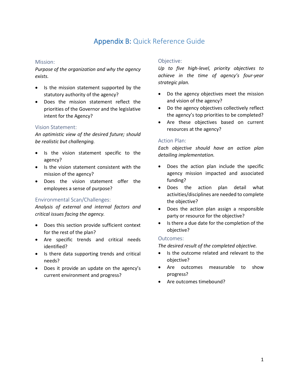### Appendix B: Quick Reference Guide

#### Mission:

*Purpose of the organization and why the agency exists.*

- Is the mission statement supported by the statutory authority of the agency?
- Does the mission statement reflect the priorities of the Governor and the legislative intent for the Agency?

#### Vision Statement:

*An optimistic view of the desired future; should be realistic but challenging.*

- Is the vision statement specific to the agency?
- Is the vision statement consistent with the mission of the agency?
- Does the vision statement offer the employees a sense of purpose?

#### Environmental Scan/Challenges:

*Analysis of external and internal factors and critical issues facing the agency.*

- Does this section provide sufficient context for the rest of the plan?
- Are specific trends and critical needs identified?
- Is there data supporting trends and critical needs?
- Does it provide an update on the agency's current environment and progress?

#### Objective:

*Up to five high-level, priority objectives to achieve in the time of agency's four-year strategic plan.*

- Do the agency objectives meet the mission and vision of the agency?
- Do the agency objectives collectively reflect the agency's top priorities to be completed?
- Are these objectives based on current resources at the agency?

#### Action Plan:

*Each objective should have an action plan detailing implementation.*

- Does the action plan include the specific agency mission impacted and associated funding?
- Does the action plan detail what activities/disciplines are needed to complete the objective?
- Does the action plan assign a responsible party or resource for the objective?
- Is there a due date for the completion of the objective?

#### Outcomes:

*The desired result of the completed objective.*

- Is the outcome related and relevant to the objective?
- Are outcomes measurable to show progress?
- Are outcomes timebound?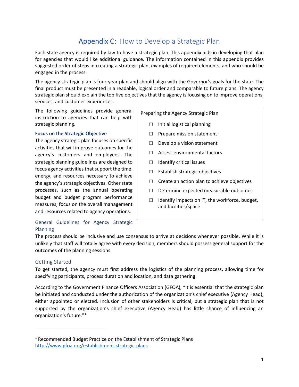## Appendix C: How to Develop a Strategic Plan

Each state agency is required by law to have a strategic plan. This appendix aids in developing that plan for agencies that would like additional guidance. The information contained in this appendix provides suggested order of steps in creating a strategic plan, examples of required elements, and who should be engaged in the process.

The agency strategic plan is four-year plan and should align with the Governor's goals for the state. The final product must be presented in a readable, logical order and comparable to future plans. The agency strategic plan should explain the top five objectives that the agency is focusing on to improve operations, services, and customer experiences.

The following guidelines provide general instruction to agencies that can help with strategic planning.

#### **Focus on the Strategic Objective**

The agency strategic plan focuses on specific activities that will improve outcomes for the agency's customers and employees. The strategic planning guidelines are designed to focus agency activities that support the time, energy, and resources necessary to achieve the agency's strategic objectives. Other state processes, such as the annual operating budget and budget program performance measures, focus on the overall management and resources related to agency operations.

General Guidelines for Agency Strategic Planning

Preparing the Agency Strategic Plan

- □ Initial logistical planning
- □ Prepare mission statement
- $\Box$  Develop a vision statement
- □ Assess environmental factors
- □ Identify critical issues
- □ Establish strategic objectives
- $\Box$  Create an action plan to achieve objectives
- □ Determine expected measurable outcomes
- $\Box$  Identify impacts on IT, the workforce, budget, and facilities/space

The process should be inclusive and use consensus to arrive at decisions whenever possible. While it is unlikely that staff will totally agree with every decision, members should possess general support for the outcomes of the planning sessions.

#### Getting Started

To get started, the agency must first address the logistics of the planning process, allowing time for specifying participants, process duration and location, and data gathering.

According to the Government Finance Officers Association (GFOA), "It is essential that the strategic plan be initiated and conducted under the authorization of the organization's chief executive (Agency Head), either appointed or elected. Inclusion of other stakeholders is critical, but a strategic plan that is not supported by the organization's chief executive (Agency Head) has little chance of influencing an organization's future."[1](#page-9-0)

<span id="page-9-0"></span><sup>&</sup>lt;sup>1</sup> Recommended Budget Practice on the Establishment of Strategic Plans <http://www.gfoa.org/establishment-strategic-plans>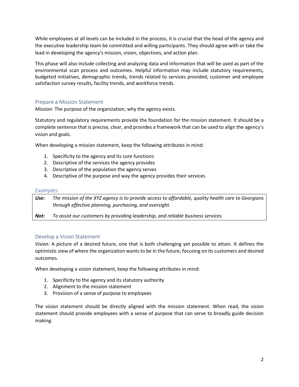While employees at all levels can be included in the process, it is crucial that the head of the agency and the executive leadership team be committed and willing participants. They should agree with or take the lead in developing the agency's mission, vision, objectives, and action plan.

This phase will also include collecting and analyzing data and information that will be used as part of the environmental scan process and outcomes. Helpful information may include statutory requirements, budgeted initiatives, demographic trends, trends related to services provided, customer and employee satisfaction survey results, facility trends, and workforce trends.

#### Prepare a Mission Statement

*Mission:* The purpose of the organization; why the agency exists.

Statutory and regulatory requirements provide the foundation for the mission statement. It should be a complete sentence that is precise, clear, and provides a framework that can be used to align the agency's vision and goals.

When developing a mission statement, keep the following attributes in mind:

- 1. Specificity to the agency and its core functions
- 2. Descriptive of the services the agency provides
- 3. Descriptive of the population the agency serves
- 4. Descriptive of the purpose and way the agency provides their services

#### *Examples:*

*Use: The mission of the XYZ agency is to provide access to affordable, quality health care to Georgians through effective planning, purchasing, and oversight.* 

*Not: To assist our customers by providing leadership, and reliable business services.*

#### Develop a Vision Statement

*Vision:* A picture of a desired future, one that is both challenging yet possible to attain. It defines the optimistic view of where the organization wants to be in the future, focusing on its customers and desired outcomes.

When developing a vision statement, keep the following attributes in mind:

- 1. Specificity to the agency and its statutory authority
- 2. Alignment to the mission statement
- 3. Provision of a sense of purpose to employees

The vision statement should be directly aligned with the mission statement. When read, the vision statement should provide employees with a sense of purpose that can serve to broadly guide decision making.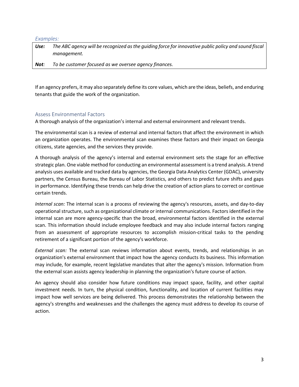#### *Examples:*

| Use: | The ABC agency will be recognized as the guiding force for innovative public policy and sound fiscal |
|------|------------------------------------------------------------------------------------------------------|
|      | manaaement.                                                                                          |
|      |                                                                                                      |

*Not: To be customer focused as we oversee agency finances.* 

If an agency prefers, it may also separately define its core values, which are the ideas, beliefs, and enduring tenants that guide the work of the organization.

#### Assess Environmental Factors

A thorough analysis of the organization's internal and external environment and relevant trends.

The environmental scan is a review of external and internal factors that affect the environment in which an organization operates. The environmental scan examines these factors and their impact on Georgia citizens, state agencies, and the services they provide.

A thorough analysis of the agency's internal and external environment sets the stage for an effective strategic plan. One viable method for conducting an environmental assessment is a trend analysis. A trend analysis uses available and tracked data by agencies, the Georgia Data Analytics Center (GDAC), university partners, the Census Bureau, the Bureau of Labor Statistics, and others to predict future shifts and gaps in performance. Identifying these trends can help drive the creation of action plans to correct or continue certain trends.

*Internal scan:* The internal scan is a process of reviewing the agency's resources, assets, and day-to-day operational structure, such as organizational climate or internal communications. Factors identified in the internal scan are more agency-specific than the broad, environmental factors identified in the external scan. This information should include employee feedback and may also include internal factors ranging from an assessment of appropriate resources to accomplish mission-critical tasks to the pending retirement of a significant portion of the agency's workforce.

*External scan:* The external scan reviews information about events, trends, and relationships in an organization's external environment that impact how the agency conducts its business. This information may include, for example, recent legislative mandates that alter the agency's mission. Information from the external scan assists agency leadership in planning the organization's future course of action.

An agency should also consider how future conditions may impact space, facility, and other capital investment needs. In turn, the physical condition, functionality, and location of current facilities may impact how well services are being delivered. This process demonstrates the relationship between the agency's strengths and weaknesses and the challenges the agency must address to develop its course of action.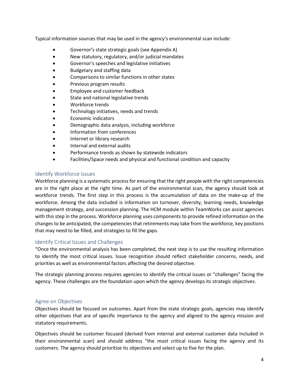Typical information sources that may be used in the agency's environmental scan include:

- Governor's state strategic goals (see Appendix A)
- New statutory, regulatory, and/or judicial mandates
- Governor's speeches and legislative initiatives
- Budgetary and staffing data
- Comparisons to similar functions in other states
- Previous program results
- Employee and customer feedback
- State and national legislative trends
- Workforce trends
- Technology initiatives, needs and trends
- Economic indicators
- Demographic data analysis, including workforce
- Information from conferences
- Internet or library research
- Internal and external audits
- Performance trends as shown by statewide indicators
- Facilities/Space needs and physical and functional condition and capacity

#### Identify Workforce Issues

Workforce planning is a systematic process for ensuring that the right people with the right competencies are in the right place at the right time. As part of the environmental scan, the agency should look at workforce trends. The first step in this process is the accumulation of data on the make-up of the workforce. Among the data included is information on turnover, diversity, learning needs, knowledge management strategy, and succession planning. The HCM module within TeamWorks can assist agencies with this step in the process. Workforce planning uses components to provide refined information on the changes to be anticipated, the competencies that retirements may take from the workforce, key positions that may need to be filled, and strategies to fill the gaps.

#### Identify Critical Issues and Challenges

"Once the environmental analysis has been completed, the next step is to use the resulting information to identify the most critical issues. Issue recognition should reflect stakeholder concerns, needs, and priorities as well as environmental factors affecting the desired objective.

The strategic planning process requires agencies to identify the critical issues or "challenges" facing the agency. These challenges are the foundation upon which the agency develops its strategic objectives.

#### Agree on Objectives

Objectives should be focused on outcomes. Apart from the state strategic goals, agencies may identify other objectives that are of specific importance to the agency and aligned to the agency mission and statutory requirements.

Objectives should be customer focused (derived from internal and external customer data included in their environmental scan) and should address "the most critical issues facing the agency and its customers. The agency should prioritize its objectives and select up to five for the plan.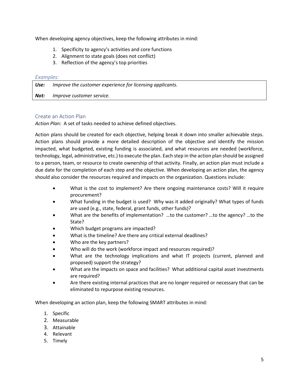When developing agency objectives, keep the following attributes in mind:

- 1. Specificity to agency's activities and core functions
- 2. Alignment to state goals (does not conflict)
- 3. Reflection of the agency's top priorities

#### *Examples:*

| Use: | Improve the customer experience for licensing applicants. |
|------|-----------------------------------------------------------|
| Not: | Improve customer service.                                 |

#### Create an Action Plan

*Action Plan:* A set of tasks needed to achieve defined objectives.

Action plans should be created for each objective, helping break it down into smaller achievable steps. Action plans should provide a more detailed description of the objective and identify the mission impacted, what budgeted, existing funding is associated, and what resources are needed (workforce, technology, legal, administrative, etc.) to execute the plan. Each step in the action plan should be assigned to a person, team, or resource to create ownership of that activity. Finally, an action plan must include a due date for the completion of each step and the objective. When developing an action plan, the agency should also consider the resources required and impacts on the organization. Questions include:

- What is the cost to implement? Are there ongoing maintenance costs? Will it require procurement?
- What funding in the budget is used? Why was it added originally? What types of funds are used (e.g., state, federal, grant funds, other funds)?
- What are the benefits of implementation? …to the customer? …to the agency? …to the State?
- Which budget programs are impacted?
- What is the timeline? Are there any critical external deadlines?
- Who are the key partners?
- Who will do the work (workforce impact and resources required)?
- What are the technology implications and what IT projects (current, planned and proposed) support the strategy?
- What are the impacts on space and facilities? What additional capital asset investments are required?
- Are there existing internal practices that are no longer required or necessary that can be eliminated to repurpose existing resources.

When developing an action plan, keep the following SMART attributes in mind:

- 1. Specific
- 2. Measurable
- 3. Attainable
- 4. Relevant
- 5. Timely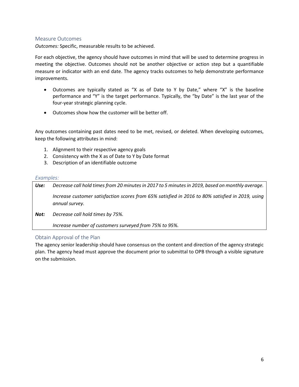#### Measure Outcomes

*Outcomes:* Specific, measurable results to be achieved.

For each objective, the agency should have outcomes in mind that will be used to determine progress in meeting the objective. Outcomes should not be another objective or action step but a quantifiable measure or indicator with an end date. The agency tracks outcomes to help demonstrate performance improvements.

- Outcomes are typically stated as "X as of Date to Y by Date," where "X" is the baseline performance and "Y" is the target performance. Typically, the "by Date" is the last year of the four-year strategic planning cycle.
- Outcomes show how the customer will be better off.

Any outcomes containing past dates need to be met, revised, or deleted. When developing outcomes, keep the following attributes in mind:

- 1. Alignment to their respective agency goals
- 2. Consistency with the X as of Date to Y by Date format
- 3. Description of an identifiable outcome

#### *Examples:*

*Use: Decrease call hold times from 20 minutes in 2017 to 5 minutes in 2019, based on monthly average. Increase customer satisfaction scores from 65% satisfied in 2016 to 80% satisfied in 2019, using annual survey.*

*Not: Decrease call hold times by 75%.*

*Increase number of customers surveyed from 75% to 95%.*

#### Obtain Approval of the Plan

The agency senior leadership should have consensus on the content and direction of the agency strategic plan. The agency head must approve the document prior to submittal to OPB through a visible signature on the submission.